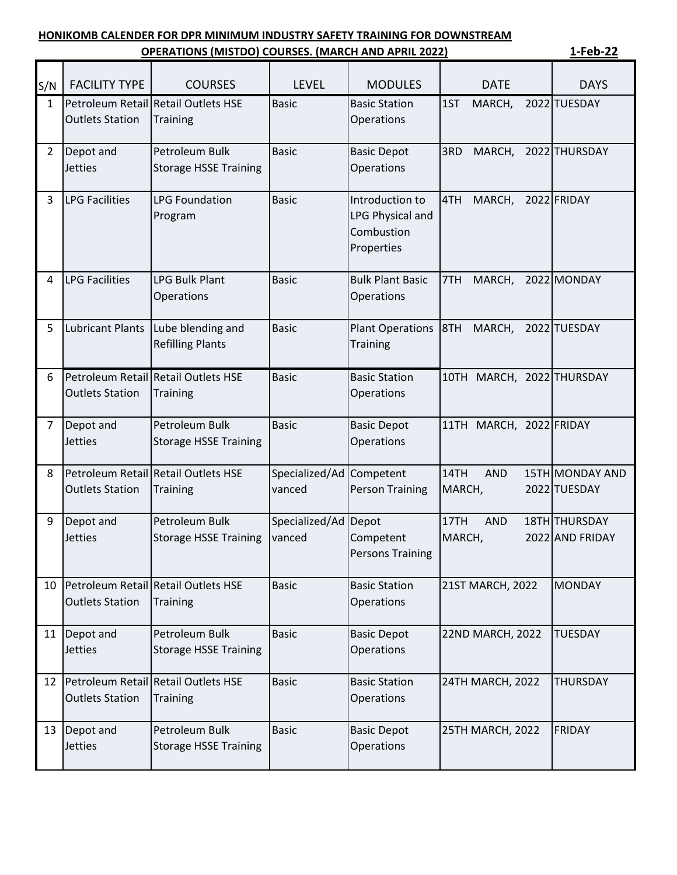## **HONIKOMB CALENDER FOR DPR MINIMUM INDUSTRY SAFETY TRAINING FOR DOWNSTREAM**

|                | <b>OPERATIONS (MISTDO) COURSES. (MARCH AND APRIL 2022)</b> |                                                        |                                |                                                                        |                              |                                  |
|----------------|------------------------------------------------------------|--------------------------------------------------------|--------------------------------|------------------------------------------------------------------------|------------------------------|----------------------------------|
| S/N            | <b>FACILITY TYPE</b>                                       | <b>COURSES</b>                                         | <b>LEVEL</b>                   | <b>MODULES</b>                                                         | <b>DATE</b>                  | <b>DAYS</b>                      |
| $\mathbf{1}$   | <b>Outlets Station</b>                                     | Petroleum Retail Retail Outlets HSE<br><b>Training</b> | <b>Basic</b>                   | <b>Basic Station</b><br>Operations                                     | 1ST<br>MARCH,                | 2022 TUESDAY                     |
| $2^{\circ}$    | Depot and<br><b>Jetties</b>                                | Petroleum Bulk<br><b>Storage HSSE Training</b>         | <b>Basic</b>                   | <b>Basic Depot</b><br>Operations                                       | 3RD<br>MARCH,                | 2022 THURSDAY                    |
| 3              | <b>LPG Facilities</b>                                      | <b>LPG Foundation</b><br>Program                       | <b>Basic</b>                   | Introduction to<br><b>LPG Physical and</b><br>Combustion<br>Properties | 4TH<br>MARCH,                | 2022 FRIDAY                      |
| 4              | <b>LPG Facilities</b>                                      | <b>LPG Bulk Plant</b><br>Operations                    | <b>Basic</b>                   | <b>Bulk Plant Basic</b><br>Operations                                  | 7TH<br>MARCH,                | 2022 MONDAY                      |
| 5              | <b>Lubricant Plants</b>                                    | Lube blending and<br><b>Refilling Plants</b>           | <b>Basic</b>                   | <b>Plant Operations</b><br><b>Training</b>                             | 8TH<br>MARCH,                | 2022 TUESDAY                     |
| 6              | <b>Outlets Station</b>                                     | Petroleum Retail Retail Outlets HSE<br><b>Training</b> | <b>Basic</b>                   | <b>Basic Station</b><br>Operations                                     | 10TH MARCH, 2022 THURSDAY    |                                  |
| $\overline{7}$ | Depot and<br><b>Jetties</b>                                | Petroleum Bulk<br><b>Storage HSSE Training</b>         | <b>Basic</b>                   | <b>Basic Depot</b><br>Operations                                       | 11TH MARCH, 2022 FRIDAY      |                                  |
| 8              | <b>Outlets Station</b>                                     | Petroleum Retail Retail Outlets HSE<br><b>Training</b> | Specialized/Ad<br>vanced       | Competent<br><b>Person Training</b>                                    | 14TH<br><b>AND</b><br>MARCH, | 15TH MONDAY AND<br>2022 TUESDAY  |
| 9              | Depot and<br>Jetties                                       | Petroleum Bulk<br><b>Storage HSSE Training</b>         | Specialized/Ad Depot<br>vanced | Competent<br><b>Persons Training</b>                                   | 17TH<br><b>AND</b><br>MARCH, | 18TH THURSDAY<br>2022 AND FRIDAY |
| 10             | <b>Outlets Station</b>                                     | Petroleum Retail Retail Outlets HSE<br><b>Training</b> | <b>Basic</b>                   | <b>Basic Station</b><br>Operations                                     | 21ST MARCH, 2022             | <b>MONDAY</b>                    |
| 11             | Depot and<br><b>Jetties</b>                                | Petroleum Bulk<br><b>Storage HSSE Training</b>         | <b>Basic</b>                   | <b>Basic Depot</b><br>Operations                                       | 22ND MARCH, 2022             | <b>TUESDAY</b>                   |
| 12             | <b>Outlets Station</b>                                     | Petroleum Retail Retail Outlets HSE<br><b>Training</b> | <b>Basic</b>                   | <b>Basic Station</b><br>Operations                                     | 24TH MARCH, 2022             | <b>THURSDAY</b>                  |
| 13             | Depot and<br>Jetties                                       | Petroleum Bulk<br><b>Storage HSSE Training</b>         | <b>Basic</b>                   | <b>Basic Depot</b><br>Operations                                       | 25TH MARCH, 2022             | FRIDAY                           |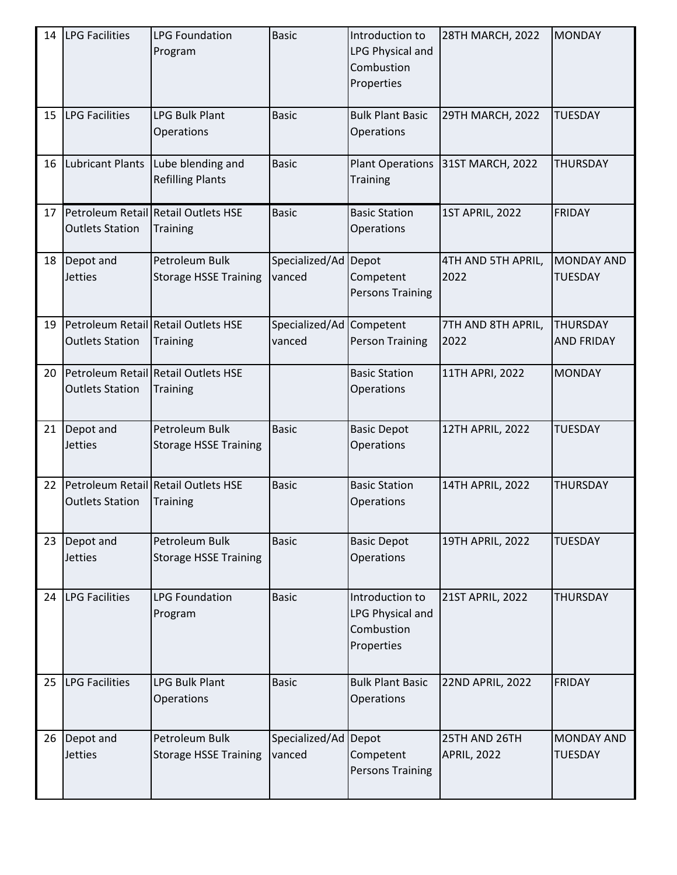| 14 | <b>LPG Facilities</b>       | <b>LPG Foundation</b><br>Program                       | <b>Basic</b>                       | Introduction to<br>LPG Physical and<br>Combustion<br>Properties | 28TH MARCH, 2022                    | <b>MONDAY</b>                        |
|----|-----------------------------|--------------------------------------------------------|------------------------------------|-----------------------------------------------------------------|-------------------------------------|--------------------------------------|
| 15 | <b>LPG Facilities</b>       | <b>LPG Bulk Plant</b><br>Operations                    | <b>Basic</b>                       | <b>Bulk Plant Basic</b><br>Operations                           | 29TH MARCH, 2022                    | <b>TUESDAY</b>                       |
| 16 | <b>Lubricant Plants</b>     | Lube blending and<br><b>Refilling Plants</b>           | <b>Basic</b>                       | <b>Plant Operations</b><br><b>Training</b>                      | 31ST MARCH, 2022                    | <b>THURSDAY</b>                      |
| 17 | <b>Outlets Station</b>      | Petroleum Retail Retail Outlets HSE<br><b>Training</b> | <b>Basic</b>                       | <b>Basic Station</b><br>Operations                              | <b>1ST APRIL, 2022</b>              | <b>FRIDAY</b>                        |
| 18 | Depot and<br><b>Jetties</b> | Petroleum Bulk<br><b>Storage HSSE Training</b>         | Specialized/Ad Depot<br>vanced     | Competent<br><b>Persons Training</b>                            | 4TH AND 5TH APRIL,<br>2022          | <b>MONDAY AND</b><br><b>TUESDAY</b>  |
| 19 | <b>Outlets Station</b>      | Petroleum Retail Retail Outlets HSE<br><b>Training</b> | Specialized/Ad Competent<br>vanced | <b>Person Training</b>                                          | 7TH AND 8TH APRIL,<br>2022          | <b>THURSDAY</b><br><b>AND FRIDAY</b> |
| 20 | <b>Outlets Station</b>      | Petroleum Retail Retail Outlets HSE<br><b>Training</b> |                                    | <b>Basic Station</b><br>Operations                              | 11TH APRI, 2022                     | <b>MONDAY</b>                        |
| 21 | Depot and<br><b>Jetties</b> | Petroleum Bulk<br><b>Storage HSSE Training</b>         | <b>Basic</b>                       | <b>Basic Depot</b><br>Operations                                | <b>12TH APRIL, 2022</b>             | <b>TUESDAY</b>                       |
| 22 | <b>Outlets Station</b>      | Petroleum Retail Retail Outlets HSE<br><b>Training</b> | <b>Basic</b>                       | <b>Basic Station</b><br>Operations                              | 14TH APRIL, 2022                    | <b>THURSDAY</b>                      |
| 23 | Depot and<br><b>Jetties</b> | Petroleum Bulk<br><b>Storage HSSE Training</b>         | <b>Basic</b>                       | <b>Basic Depot</b><br>Operations                                | <b>19TH APRIL, 2022</b>             | <b>TUESDAY</b>                       |
| 24 | <b>LPG Facilities</b>       | <b>LPG Foundation</b><br>Program                       | <b>Basic</b>                       | Introduction to<br>LPG Physical and<br>Combustion<br>Properties | 21ST APRIL, 2022                    | <b>THURSDAY</b>                      |
| 25 | <b>LPG Facilities</b>       | <b>LPG Bulk Plant</b><br>Operations                    | <b>Basic</b>                       | <b>Bulk Plant Basic</b><br>Operations                           | 22ND APRIL, 2022                    | <b>FRIDAY</b>                        |
| 26 | Depot and<br><b>Jetties</b> | Petroleum Bulk<br><b>Storage HSSE Training</b>         | Specialized/Ad Depot<br>vanced     | Competent<br><b>Persons Training</b>                            | 25TH AND 26TH<br><b>APRIL, 2022</b> | <b>MONDAY AND</b><br><b>TUESDAY</b>  |